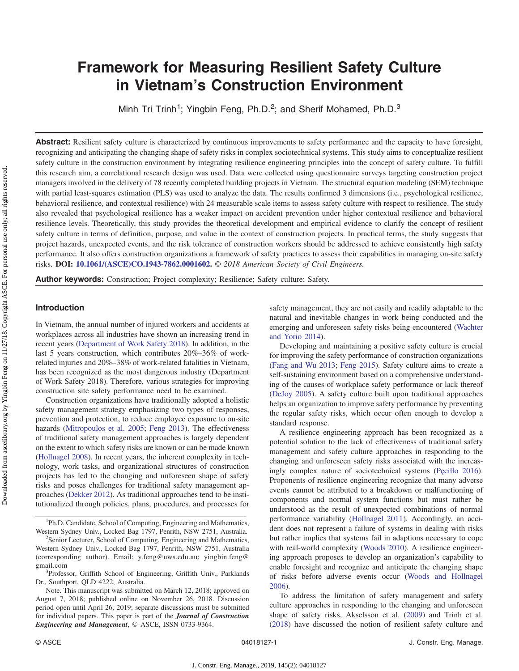# Framework for Measuring Resilient Safety Culture in Vietnam's Construction Environment

Minh Tri Trinh<sup>1</sup>; Yingbin Feng, Ph.D.<sup>2</sup>; and Sherif Mohamed, Ph.D.<sup>3</sup>

Abstract: Resilient safety culture is characterized by continuous improvements to safety performance and the capacity to have foresight, recognizing and anticipating the changing shape of safety risks in complex sociotechnical systems. This study aims to conceptualize resilient safety culture in the construction environment by integrating resilience engineering principles into the concept of safety culture. To fulfill this research aim, a correlational research design was used. Data were collected using questionnaire surveys targeting construction project managers involved in the delivery of 78 recently completed building projects in Vietnam. The structural equation modeling (SEM) technique with partial least-squares estimation (PLS) was used to analyze the data. The results confirmed 3 dimensions (i.e., psychological resilience, behavioral resilience, and contextual resilience) with 24 measurable scale items to assess safety culture with respect to resilience. The study also revealed that psychological resilience has a weaker impact on accident prevention under higher contextual resilience and behavioral resilience levels. Theoretically, this study provides the theoretical development and empirical evidence to clarify the concept of resilient safety culture in terms of definition, purpose, and value in the context of construction projects. In practical terms, the study suggests that project hazards, unexpected events, and the risk tolerance of construction workers should be addressed to achieve consistently high safety performance. It also offers construction organizations a framework of safety practices to assess their capabilities in managing on-site safety risks. **DOI: [10.1061/\(ASCE\)CO.1943-7862.0001602.](https://doi.org/10.1061/(ASCE)CO.1943-7862.0001602)** © 2018 American Society of Civil Engineers.

Author keywords: Construction; Project complexity; Resilience; Safety culture; Safety

## Introduction

In Vietnam, the annual number of injured workers and accidents at workplaces across all industries have shown an increasing trend in recent years ([Department of Work Safety 2018\)](#page-10-0). In addition, in the last 5 years construction, which contributes 20%–36% of workrelated injuries and 20%–38% of work-related fatalities in Vietnam, has been recognized as the most dangerous industry (Department of Work Safety 2018). Therefore, various strategies for improving construction site safety performance need to be examined.

Construction organizations have traditionally adopted a holistic safety management strategy emphasizing two types of responses, prevention and protection, to reduce employee exposure to on-site hazards ([Mitropoulos et al. 2005](#page-10-0); [Feng 2013](#page-10-0)). The effectiveness of traditional safety management approaches is largely dependent on the extent to which safety risks are known or can be made known [\(Hollnagel 2008\)](#page-10-0). In recent years, the inherent complexity in technology, work tasks, and organizational structures of construction projects has led to the changing and unforeseen shape of safety risks and poses challenges for traditional safety management approaches ([Dekker 2012\)](#page-10-0). As traditional approaches tend to be institutionalized through policies, plans, procedures, and processes for

<sup>1</sup>Ph.D. Candidate, School of Computing, Engineering and Mathematics, Western Sydney Univ., Locked Bag 1797, Penrith, NSW 2751, Australia. <sup>2</sup>

<sup>2</sup>Senior Lecturer, School of Computing, Engineering and Mathematics, Western Sydney Univ., Locked Bag 1797, Penrith, NSW 2751, Australia (corresponding author). Email: [y.feng@uws.edu.au](mailto:y.feng@uws.edu.au); [yingbin.feng@](mailto:yingbin.feng@gmail.com) [gmail.com](mailto:yingbin.feng@gmail.com) <sup>3</sup>

<sup>3</sup>Professor, Griffith School of Engineering, Griffith Univ., Parklands Dr., Southport, QLD 4222, Australia.

Note. This manuscript was submitted on March 12, 2018; approved on August 7, 2018; published online on November 26, 2018. Discussion period open until April 26, 2019; separate discussions must be submitted for individual papers. This paper is part of the Journal of Construction Engineering and Management, © ASCE, ISSN 0733-9364.

safety management, they are not easily and readily adaptable to the natural and inevitable changes in work being conducted and the emerging and unforeseen safety risks being encountered ([Wachter](#page-11-0) [and Yorio 2014](#page-11-0)).

Developing and maintaining a positive safety culture is crucial for improving the safety performance of construction organizations [\(Fang and Wu 2013;](#page-10-0) [Feng 2015](#page-10-0)). Safety culture aims to create a self-sustaining environment based on a comprehensive understanding of the causes of workplace safety performance or lack thereof [\(DeJoy 2005\)](#page-10-0). A safety culture built upon traditional approaches helps an organization to improve safety performance by preventing the regular safety risks, which occur often enough to develop a standard response.

A resilience engineering approach has been recognized as a potential solution to the lack of effectiveness of traditional safety management and safety culture approaches in responding to the changing and unforeseen safety risks associated with the increasingly complex nature of sociotechnical systems (Pęciłł[o 2016\)](#page-10-0). Proponents of resilience engineering recognize that many adverse events cannot be attributed to a breakdown or malfunctioning of components and normal system functions but must rather be understood as the result of unexpected combinations of normal performance variability [\(Hollnagel 2011\)](#page-10-0). Accordingly, an accident does not represent a failure of systems in dealing with risks but rather implies that systems fail in adaptions necessary to cope with real-world complexity ([Woods 2010](#page-11-0)). A resilience engineering approach proposes to develop an organization's capability to enable foresight and recognize and anticipate the changing shape of risks before adverse events occur ([Woods and Hollnagel](#page-11-0) [2006](#page-11-0)).

To address the limitation of safety management and safety culture approaches in responding to the changing and unforeseen shape of safety risks, Akselsson et al. ([2009\)](#page-10-0) and Trinh et al. [\(2018](#page-11-0)) have discussed the notion of resilient safety culture and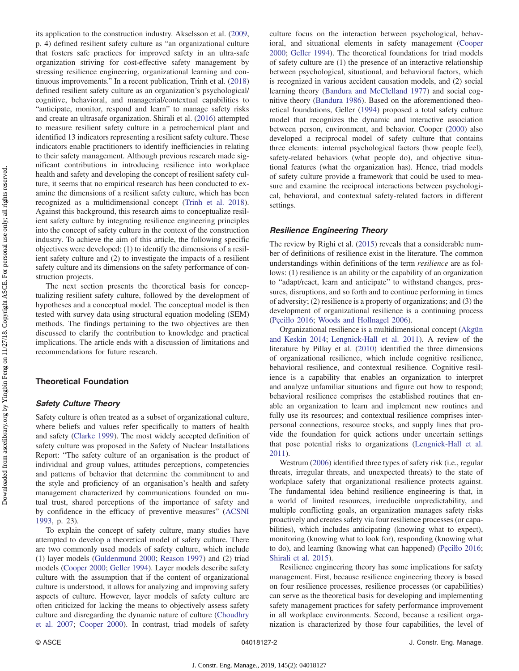its application to the construction industry. Akselsson et al. ([2009,](#page-10-0) p. 4) defined resilient safety culture as "an organizational culture that fosters safe practices for improved safety in an ultra-safe organization striving for cost-effective safety management by stressing resilience engineering, organizational learning and continuous improvements." In a recent publication, Trinh et al. ([2018\)](#page-11-0) defined resilient safety culture as an organization's psychological/ cognitive, behavioral, and managerial/contextual capabilities to "anticipate, monitor, respond and learn" to manage safety risks and create an ultrasafe organization. Shirali et al. [\(2016](#page-11-0)) attempted to measure resilient safety culture in a petrochemical plant and identified 13 indicators representing a resilient safety culture. These indicators enable practitioners to identify inefficiencies in relating to their safety management. Although previous research made significant contributions in introducing resilience into workplace health and safety and developing the concept of resilient safety culture, it seems that no empirical research has been conducted to examine the dimensions of a resilient safety culture, which has been recognized as a multidimensional concept [\(Trinh et al. 2018\)](#page-11-0). Against this background, this research aims to conceptualize resilient safety culture by integrating resilience engineering principles into the concept of safety culture in the context of the construction industry. To achieve the aim of this article, the following specific objectives were developed: (1) to identify the dimensions of a resilient safety culture and (2) to investigate the impacts of a resilient safety culture and its dimensions on the safety performance of construction projects.

The next section presents the theoretical basis for conceptualizing resilient safety culture, followed by the development of hypotheses and a conceptual model. The conceptual model is then tested with survey data using structural equation modeling (SEM) methods. The findings pertaining to the two objectives are then discussed to clarify the contribution to knowledge and practical implications. The article ends with a discussion of limitations and recommendations for future research.

# Theoretical Foundation

## Safety Culture Theory

Safety culture is often treated as a subset of organizational culture, where beliefs and values refer specifically to matters of health and safety [\(Clarke 1999](#page-10-0)). The most widely accepted definition of safety culture was proposed in the Safety of Nuclear Installations Report: "The safety culture of an organisation is the product of individual and group values, attitudes perceptions, competencies and patterns of behavior that determine the commitment to and the style and proficiency of an organisation's health and safety management characterized by communications founded on mutual trust, shared perceptions of the importance of safety and by confidence in the efficacy of preventive measures" ([ACSNI](#page-10-0) [1993](#page-10-0), p. 23).

To explain the concept of safety culture, many studies have attempted to develop a theoretical model of safety culture. There are two commonly used models of safety culture, which include (1) layer models ([Guldenmund 2000;](#page-10-0) [Reason 1997](#page-11-0)) and (2) triad models [\(Cooper 2000;](#page-10-0) [Geller 1994\)](#page-10-0). Layer models describe safety culture with the assumption that if the content of organizational culture is understood, it allows for analyzing and improving safety aspects of culture. However, layer models of safety culture are often criticized for lacking the means to objectively assess safety culture and disregarding the dynamic nature of culture [\(Choudhry](#page-10-0) [et al. 2007](#page-10-0); [Cooper 2000](#page-10-0)). In contrast, triad models of safety culture focus on the interaction between psychological, behavioral, and situational elements in safety management [\(Cooper](#page-10-0) [2000](#page-10-0); [Geller 1994](#page-10-0)). The theoretical foundations for triad models of safety culture are (1) the presence of an interactive relationship between psychological, situational, and behavioral factors, which is recognized in various accident causation models, and (2) social learning theory [\(Bandura and McClelland 1977\)](#page-10-0) and social cognitive theory [\(Bandura 1986\)](#page-10-0). Based on the aforementioned theoretical foundations, Geller ([1994\)](#page-10-0) proposed a total safety culture model that recognizes the dynamic and interactive association between person, environment, and behavior. Cooper ([2000\)](#page-10-0) also developed a reciprocal model of safety culture that contains three elements: internal psychological factors (how people feel), safety-related behaviors (what people do), and objective situational features (what the organization has). Hence, triad models of safety culture provide a framework that could be used to measure and examine the reciprocal interactions between psychological, behavioral, and contextual safety-related factors in different settings.

#### Resilience Engineering Theory

The review by Righi et al. ([2015\)](#page-11-0) reveals that a considerable number of definitions of resilience exist in the literature. The common understandings within definitions of the term resilience are as follows: (1) resilience is an ability or the capability of an organization to "adapt/react, learn and anticipate" to withstand changes, pressures, disruptions, and so forth and to continue performing in times of adversity; (2) resilience is a property of organizations; and (3) the development of organizational resilience is a continuing process (Pęciłł[o 2016;](#page-10-0) [Woods and Hollnagel 2006](#page-11-0)).

Organizational resilience is a multidimensional concept [\(Akgün](#page-10-0) [and Keskin 2014;](#page-10-0) [Lengnick-Hall et al. 2011\)](#page-10-0). A review of the literature by Pillay et al. [\(2010\)](#page-10-0) identified the three dimensions of organizational resilience, which include cognitive resilience, behavioral resilience, and contextual resilience. Cognitive resilience is a capability that enables an organization to interpret and analyze unfamiliar situations and figure out how to respond; behavioral resilience comprises the established routines that enable an organization to learn and implement new routines and fully use its resources; and contextual resilience comprises interpersonal connections, resource stocks, and supply lines that provide the foundation for quick actions under uncertain settings that pose potential risks to organizations ([Lengnick-Hall et al.](#page-10-0) [2011](#page-10-0)).

Westrum ([2006](#page-11-0)) identified three types of safety risk (i.e., regular threats, irregular threats, and unexpected threats) to the state of workplace safety that organizational resilience protects against. The fundamental idea behind resilience engineering is that, in a world of limited resources, irreducible unpredictability, and multiple conflicting goals, an organization manages safety risks proactively and creates safety via four resilience processes (or capabilities), which includes anticipating (knowing what to expect), monitoring (knowing what to look for), responding (knowing what to do), and learning (knowing what can happened) (Pęciłł[o 2016](#page-10-0); [Shirali et al. 2015\)](#page-11-0).

Resilience engineering theory has some implications for safety management. First, because resilience engineering theory is based on four resilience processes, resilience processes (or capabilities) can serve as the theoretical basis for developing and implementing safety management practices for safety performance improvement in all workplace environments. Second, because a resilient organization is characterized by those four capabilities, the level of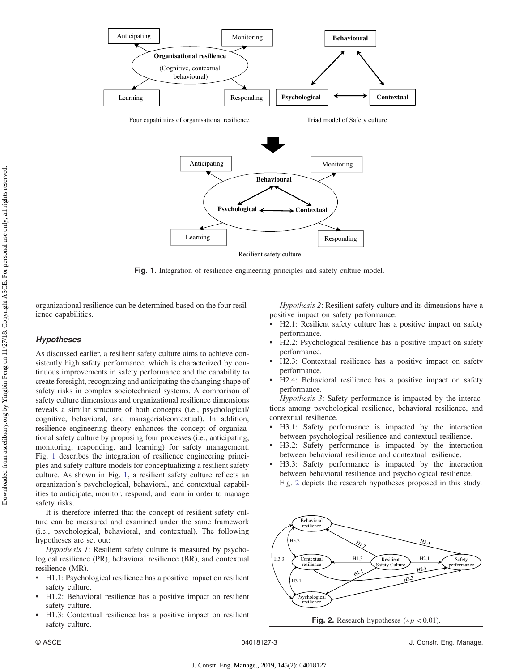

Fig. 1. Integration of resilience engineering principles and safety culture model.

organizational resilience can be determined based on the four resilience capabilities.

# Hypotheses

As discussed earlier, a resilient safety culture aims to achieve consistently high safety performance, which is characterized by continuous improvements in safety performance and the capability to create foresight, recognizing and anticipating the changing shape of safety risks in complex sociotechnical systems. A comparison of safety culture dimensions and organizational resilience dimensions reveals a similar structure of both concepts (i.e., psychological/ cognitive, behavioral, and managerial/contextual). In addition, resilience engineering theory enhances the concept of organizational safety culture by proposing four processes (i.e., anticipating, monitoring, responding, and learning) for safety management. Fig. 1 describes the integration of resilience engineering principles and safety culture models for conceptualizing a resilient safety culture. As shown in Fig. 1, a resilient safety culture reflects an organization's psychological, behavioral, and contextual capabilities to anticipate, monitor, respond, and learn in order to manage safety risks.

It is therefore inferred that the concept of resilient safety culture can be measured and examined under the same framework (i.e., psychological, behavioral, and contextual). The following hypotheses are set out:

Hypothesis 1: Resilient safety culture is measured by psychological resilience (PR), behavioral resilience (BR), and contextual resilience (MR).

- H1.1: Psychological resilience has a positive impact on resilient safety culture.
- H1.2: Behavioral resilience has a positive impact on resilient safety culture.
- H1.3: Contextual resilience has a positive impact on resilient safety culture.

Hypothesis 2: Resilient safety culture and its dimensions have a positive impact on safety performance.

- H2.1: Resilient safety culture has a positive impact on safety performance.
- H2.2: Psychological resilience has a positive impact on safety performance.
- H2.3: Contextual resilience has a positive impact on safety performance.
- H2.4: Behavioral resilience has a positive impact on safety performance.

Hypothesis 3: Safety performance is impacted by the interactions among psychological resilience, behavioral resilience, and contextual resilience.

- H3.1: Safety performance is impacted by the interaction between psychological resilience and contextual resilience.
- H3.2: Safety performance is impacted by the interaction between behavioral resilience and contextual resilience.
- H3.3: Safety performance is impacted by the interaction between behavioral resilience and psychological resilience. Fig. 2 depicts the research hypotheses proposed in this study.



Fig. 2. Research hypotheses ( $*p < 0.01$ ).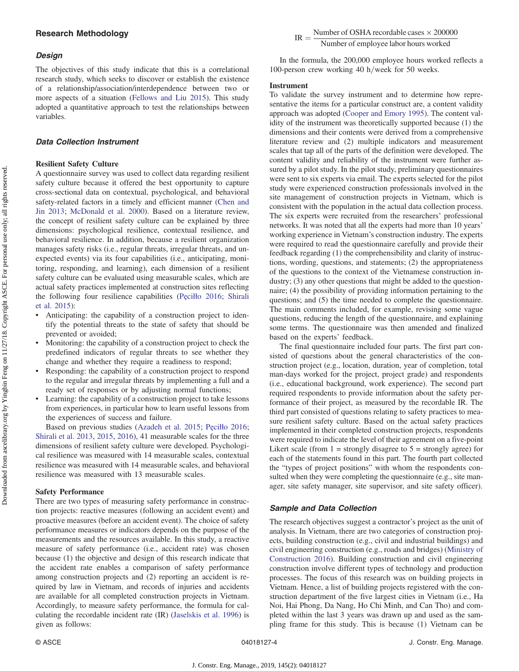# Design

The objectives of this study indicate that this is a correlational research study, which seeks to discover or establish the existence of a relationship/association/interdependence between two or more aspects of a situation ([Fellows and Liu 2015](#page-10-0)). This study adopted a quantitative approach to test the relationships between variables.

# Data Collection Instrument

## Resilient Safety Culture

A questionnaire survey was used to collect data regarding resilient safety culture because it offered the best opportunity to capture cross-sectional data on contextual, psychological, and behavioral safety-related factors in a timely and efficient manner ([Chen and](#page-10-0) [Jin 2013](#page-10-0); [McDonald et al. 2000\)](#page-10-0). Based on a literature review, the concept of resilient safety culture can be explained by three dimensions: psychological resilience, contextual resilience, and behavioral resilience. In addition, because a resilient organization manages safety risks (i.e., regular threats, irregular threats, and unexpected events) via its four capabilities (i.e., anticipating, monitoring, responding, and learning), each dimension of a resilient safety culture can be evaluated using measurable scales, which are actual safety practices implemented at construction sites reflecting the following four resilience capabilities (Pęciłł[o 2016;](#page-10-0) [Shirali](#page-11-0) [et al. 2015\)](#page-11-0):

- Anticipating: the capability of a construction project to identify the potential threats to the state of safety that should be prevented or avoided;
- Monitoring: the capability of a construction project to check the predefined indicators of regular threats to see whether they change and whether they require a readiness to respond;
- Responding: the capability of a construction project to respond to the regular and irregular threats by implementing a full and a ready set of responses or by adjusting normal functions;
- Learning: the capability of a construction project to take lessons from experiences, in particular how to learn useful lessons from the experiences of success and failure.

Based on previous studies [\(Azadeh et al. 2015;](#page-10-0) Pęciłł[o 2016](#page-10-0); [Shirali et al. 2013,](#page-11-0) [2015,](#page-11-0) [2016](#page-11-0)), 41 measurable scales for the three dimensions of resilient safety culture were developed. Psychological resilience was measured with 14 measurable scales, contextual resilience was measured with 14 measurable scales, and behavioral resilience was measured with 13 measurable scales.

#### Safety Performance

There are two types of measuring safety performance in construction projects: reactive measures (following an accident event) and proactive measures (before an accident event). The choice of safety performance measures or indicators depends on the purpose of the measurements and the resources available. In this study, a reactive measure of safety performance (i.e., accident rate) was chosen because (1) the objective and design of this research indicate that the accident rate enables a comparison of safety performance among construction projects and (2) reporting an accident is required by law in Vietnam, and records of injuries and accidents are available for all completed construction projects in Vietnam. Accordingly, to measure safety performance, the formula for calculating the recordable incident rate (IR) ([Jaselskis et al. 1996\)](#page-10-0) is given as follows:

 $IR = \frac{Number of OSHA$  recordable cases  $\times$  200000 Number of employee labor hours worked

In the formula, the 200,000 employee hours worked reflects a 100-person crew working 40 h/week for 50 weeks.

#### Instrument

To validate the survey instrument and to determine how representative the items for a particular construct are, a content validity approach was adopted [\(Cooper and Emory 1995\)](#page-10-0). The content validity of the instrument was theoretically supported because (1) the dimensions and their contents were derived from a comprehensive literature review and (2) multiple indicators and measurement scales that tap all of the parts of the definition were developed. The content validity and reliability of the instrument were further assured by a pilot study. In the pilot study, preliminary questionnaires were sent to six experts via email. The experts selected for the pilot study were experienced construction professionals involved in the site management of construction projects in Vietnam, which is consistent with the population in the actual data collection process. The six experts were recruited from the researchers' professional networks. It was noted that all the experts had more than 10 years' working experience in Vietnam's construction industry. The experts were required to read the questionnaire carefully and provide their feedback regarding (1) the comprehensibility and clarity of instructions, wording, questions, and statements; (2) the appropriateness of the questions to the context of the Vietnamese construction industry; (3) any other questions that might be added to the questionnaire; (4) the possibility of providing information pertaining to the questions; and (5) the time needed to complete the questionnaire. The main comments included, for example, revising some vague questions, reducing the length of the questionnaire, and explaining some terms. The questionnaire was then amended and finalized based on the experts' feedback.

The final questionnaire included four parts. The first part consisted of questions about the general characteristics of the construction project (e.g., location, duration, year of completion, total man-days worked for the project, project grade) and respondents (i.e., educational background, work experience). The second part required respondents to provide information about the safety performance of their project, as measured by the recordable IR. The third part consisted of questions relating to safety practices to measure resilient safety culture. Based on the actual safety practices implemented in their completed construction projects, respondents were required to indicate the level of their agreement on a five-point Likert scale (from  $1 =$  strongly disagree to  $5 =$  strongly agree) for each of the statements found in this part. The fourth part collected the "types of project positions" with whom the respondents consulted when they were completing the questionnaire (e.g., site manager, site safety manager, site supervisor, and site safety officer).

# Sample and Data Collection

The research objectives suggest a contractor's project as the unit of analysis. In Vietnam, there are two categories of construction projects, building construction (e.g., civil and industrial buildings) and civil engineering construction (e.g., roads and bridges) ([Ministry of](#page-10-0) [Construction 2016\)](#page-10-0). Building construction and civil engineering construction involve different types of technology and production processes. The focus of this research was on building projects in Vietnam. Hence, a list of building projects registered with the construction department of the five largest cities in Vietnam (i.e., Ha Noi, Hai Phong, Da Nang, Ho Chi Minh, and Can Tho) and completed within the last 3 years was drawn up and used as the sampling frame for this study. This is because (1) Vietnam can be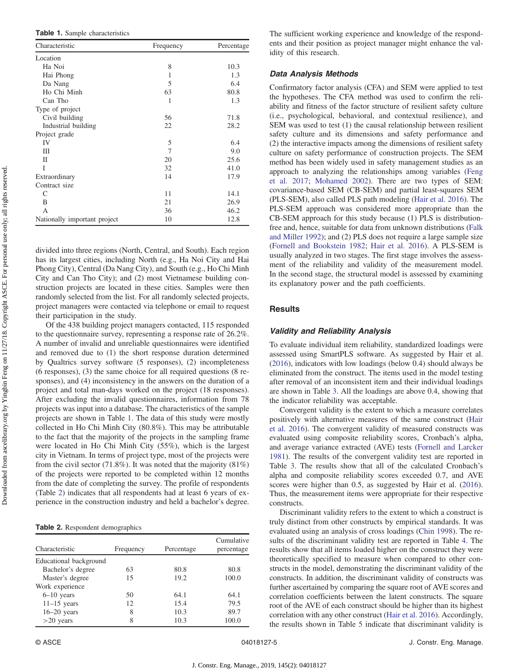Table 1. Sample characteristics

| Characteristic               | Frequency | Percentage |
|------------------------------|-----------|------------|
| Location                     |           |            |
| Ha Noi                       | 8         | 10.3       |
| Hai Phong                    | 1         | 1.3        |
| Da Nang                      | 5         | 6.4        |
| Ho Chi Minh                  | 63        | 80.8       |
| Can Tho                      | 1         | 1.3        |
| Type of project              |           |            |
| Civil building               | 56        | 71.8       |
| Industrial building          | 22        | 28.2       |
| Project grade                |           |            |
| IV                           | 5         | 6.4        |
| Ш                            | 7         | 9.0        |
| П                            | 20        | 25.6       |
| Ī                            | 32        | 41.0       |
| Extraordinary                | 14        | 17.9       |
| Contract size                |           |            |
| C                            | 11        | 14.1       |
| B                            | 21        | 26.9       |
| A                            | 36        | 46.2       |
| Nationally important project | 10        | 12.8       |

divided into three regions (North, Central, and South). Each region has its largest cities, including North (e.g., Ha Noi City and Hai Phong City), Central (Da Nang City), and South (e.g., Ho Chi Minh City and Can Tho City); and (2) most Vietnamese building construction projects are located in these cities. Samples were then randomly selected from the list. For all randomly selected projects, project managers were contacted via telephone or email to request their participation in the study.

Of the 438 building project managers contacted, 115 responded to the questionnaire survey, representing a response rate of 26.2%. A number of invalid and unreliable questionnaires were identified and removed due to (1) the short response duration determined by Qualtrics survey software (5 responses), (2) incompleteness (6 responses), (3) the same choice for all required questions (8 responses), and (4) inconsistency in the answers on the duration of a project and total man-days worked on the project (18 responses). After excluding the invalid questionnaires, information from 78 projects was input into a database. The characteristics of the sample projects are shown in Table 1. The data of this study were mostly collected in Ho Chi Minh City (80.8%). This may be attributable to the fact that the majority of the projects in the sampling frame were located in Ho Chi Minh City (55%), which is the largest city in Vietnam. In terms of project type, most of the projects were from the civil sector (71.8%). It was noted that the majority  $(81\%)$ of the projects were reported to be completed within 12 months from the date of completing the survey. The profile of respondents (Table 2) indicates that all respondents had at least 6 years of experience in the construction industry and held a bachelor's degree.

Table 2. Respondent demographics

| Characteristic         | Frequency | Percentage | Cumulative<br>percentage |
|------------------------|-----------|------------|--------------------------|
| Educational background |           |            |                          |
| Bachelor's degree      | 63        | 80.8       | 80.8                     |
| Master's degree        | 15        | 19.2       | 100.0                    |
| Work experience        |           |            |                          |
| $6-10$ years           | 50        | 64.1       | 64.1                     |
| $11-15$ years          | 12        | 15.4       | 79.5                     |
| $16-20$ years          | 8         | 10.3       | 89.7                     |
| $>20$ years            | 8         | 10.3       | 100.0                    |

The sufficient working experience and knowledge of the respondents and their position as project manager might enhance the validity of this research.

## Data Analysis Methods

Confirmatory factor analysis (CFA) and SEM were applied to test the hypotheses. The CFA method was used to confirm the reliability and fitness of the factor structure of resilient safety culture (i.e., psychological, behavioral, and contextual resilience), and SEM was used to test (1) the causal relationship between resilient safety culture and its dimensions and safety performance and (2) the interactive impacts among the dimensions of resilient safety culture on safety performance of construction projects. The SEM method has been widely used in safety management studies as an approach to analyzing the relationships among variables [\(Feng](#page-10-0) [et al. 2017;](#page-10-0) [Mohamed 2002\)](#page-10-0). There are two types of SEM: covariance-based SEM (CB-SEM) and partial least-squares SEM (PLS-SEM), also called PLS path modeling ([Hair et al. 2016](#page-10-0)). The PLS-SEM approach was considered more appropriate than the CB-SEM approach for this study because (1) PLS is distributionfree and, hence, suitable for data from unknown distributions [\(Falk](#page-10-0) [and Miller 1992](#page-10-0)); and (2) PLS does not require a large sample size [\(Fornell and Bookstein 1982](#page-10-0); [Hair et al. 2016\)](#page-10-0). A PLS-SEM is usually analyzed in two stages. The first stage involves the assessment of the reliability and validity of the measurement model. In the second stage, the structural model is assessed by examining its explanatory power and the path coefficients.

# **Results**

#### Validity and Reliability Analysis

To evaluate individual item reliability, standardized loadings were assessed using SmartPLS software. As suggested by Hair et al. [\(2016](#page-10-0)), indicators with low loadings (below 0.4) should always be eliminated from the construct. The items used in the model testing after removal of an inconsistent item and their individual loadings are shown in Table [3](#page-5-0). All the loadings are above 0.4, showing that the indicator reliability was acceptable.

Convergent validity is the extent to which a measure correlates positively with alternative measures of the same construct [\(Hair](#page-10-0) [et al. 2016\)](#page-10-0). The convergent validity of measured constructs was evaluated using composite reliability scores, Cronbach's alpha, and average variance extracted (AVE) tests ([Fornell and Larcker](#page-10-0) [1981](#page-10-0)). The results of the convergent validity test are reported in Table [3.](#page-5-0) The results show that all of the calculated Cronbach's alpha and composite reliability scores exceeded 0.7, and AVE scores were higher than 0.5, as suggested by Hair et al. ([2016\)](#page-10-0). Thus, the measurement items were appropriate for their respective constructs.

Discriminant validity refers to the extent to which a construct is truly distinct from other constructs by empirical standards. It was evaluated using an analysis of cross loadings [\(Chin 1998](#page-10-0)). The results of the discriminant validity test are reported in Table [4.](#page-5-0) The results show that all items loaded higher on the construct they were theoretically specified to measure when compared to other constructs in the model, demonstrating the discriminant validity of the constructs. In addition, the discriminant validity of constructs was further ascertained by comparing the square root of AVE scores and correlation coefficients between the latent constructs. The square root of the AVE of each construct should be higher than its highest correlation with any other construct ([Hair et al. 2016\)](#page-10-0). Accordingly, the results shown in Table [5](#page-5-0) indicate that discriminant validity is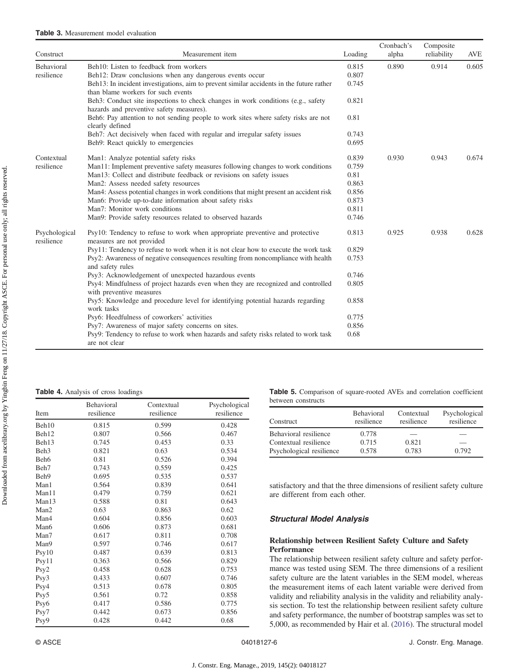<span id="page-5-0"></span>

| Construct                   | Measurement item                                                                                                               | Loading | Cronbach's<br>alpha | Composite<br>reliability | <b>AVE</b> |
|-----------------------------|--------------------------------------------------------------------------------------------------------------------------------|---------|---------------------|--------------------------|------------|
| Behavioral                  | Beh10: Listen to feedback from workers                                                                                         | 0.815   | 0.890               | 0.914                    | 0.605      |
| resilience                  | Beh12: Draw conclusions when any dangerous events occur                                                                        | 0.807   |                     |                          |            |
|                             | Beh13: In incident investigations, aim to prevent similar accidents in the future rather<br>than blame workers for such events | 0.745   |                     |                          |            |
|                             | Beh3: Conduct site inspections to check changes in work conditions (e.g., safety<br>hazards and preventive safety measures).   | 0.821   |                     |                          |            |
|                             | Beh6: Pay attention to not sending people to work sites where safety risks are not<br>clearly defined                          | 0.81    |                     |                          |            |
|                             | Beh7: Act decisively when faced with regular and irregular safety issues                                                       | 0.743   |                     |                          |            |
|                             | Beh9: React quickly to emergencies                                                                                             | 0.695   |                     |                          |            |
| Contextual<br>resilience    | Man1: Analyze potential safety risks                                                                                           | 0.839   | 0.930               | 0.943                    | 0.674      |
|                             | Man11: Implement preventive safety measures following changes to work conditions                                               | 0.759   |                     |                          |            |
|                             | Man13: Collect and distribute feedback or revisions on safety issues                                                           | 0.81    |                     |                          |            |
|                             | Man2: Assess needed safety resources                                                                                           | 0.863   |                     |                          |            |
|                             | Man4: Assess potential changes in work conditions that might present an accident risk                                          | 0.856   |                     |                          |            |
|                             | Man6: Provide up-to-date information about safety risks                                                                        | 0.873   |                     |                          |            |
|                             | Man7: Monitor work conditions                                                                                                  | 0.811   |                     |                          |            |
|                             | Man9: Provide safety resources related to observed hazards                                                                     | 0.746   |                     |                          |            |
| Psychological<br>resilience | Psy10: Tendency to refuse to work when appropriate preventive and protective<br>measures are not provided                      | 0.813   | 0.925               | 0.938                    | 0.628      |
|                             | Psy11: Tendency to refuse to work when it is not clear how to execute the work task                                            | 0.829   |                     |                          |            |
|                             | Psy2: Awareness of negative consequences resulting from noncompliance with health<br>and safety rules                          | 0.753   |                     |                          |            |
|                             | Psy3: Acknowledgement of unexpected hazardous events                                                                           | 0.746   |                     |                          |            |
|                             | Psy4: Mindfulness of project hazards even when they are recognized and controlled<br>with preventive measures                  | 0.805   |                     |                          |            |
|                             | Psy5: Knowledge and procedure level for identifying potential hazards regarding<br>work tasks                                  | 0.858   |                     |                          |            |
|                             | Psy6: Heedfulness of coworkers' activities                                                                                     | 0.775   |                     |                          |            |
|                             | Psy7: Awareness of major safety concerns on sites.                                                                             | 0.856   |                     |                          |            |
|                             | Psy9: Tendency to refuse to work when hazards and safety risks related to work task<br>are not clear                           | 0.68    |                     |                          |            |

Table 4. Analysis of cross loadings

| Item             | <b>Behavioral</b><br>resilience | Contextual<br>resilience | Psychological<br>resilience |
|------------------|---------------------------------|--------------------------|-----------------------------|
| Beh10            | 0.815                           | 0.599                    | 0.428                       |
| Beh12            | 0.807                           | 0.566                    | 0.467                       |
| Beh13            | 0.745                           | 0.453                    | 0.33                        |
| Beh <sub>3</sub> | 0.821                           | 0.63                     | 0.534                       |
| Beh <sub>6</sub> | 0.81                            | 0.526                    | 0.394                       |
| Beh7             | 0.743                           | 0.559                    | 0.425                       |
| Beh9             | 0.695                           | 0.535                    | 0.537                       |
| Man1             | 0.564                           | 0.839                    | 0.641                       |
| Man11            | 0.479                           | 0.759                    | 0.621                       |
| Man13            | 0.588                           | 0.81                     | 0.643                       |
| Man <sub>2</sub> | 0.63                            | 0.863                    | 0.62                        |
| Man4             | 0.604                           | 0.856                    | 0.603                       |
| Man6             | 0.606                           | 0.873                    | 0.681                       |
| Man7             | 0.617                           | 0.811                    | 0.708                       |
| Man9             | 0.597                           | 0.746                    | 0.617                       |
| Psy10            | 0.487                           | 0.639                    | 0.813                       |
| Psy11            | 0.363                           | 0.566                    | 0.829                       |
| Psy2             | 0.458                           | 0.628                    | 0.753                       |
| Psy3             | 0.433                           | 0.607                    | 0.746                       |
| Psy4             | 0.513                           | 0.678                    | 0.805                       |
| Psy5             | 0.561                           | 0.72                     | 0.858                       |
| Psy6             | 0.417                           | 0.586                    | 0.775                       |
| Psy7             | 0.442                           | 0.673                    | 0.856                       |
| Psy9             | 0.428                           | 0.442                    | 0.68                        |

Table 5. Comparison of square-rooted AVEs and correlation coefficient between constructs

| Construct                | <b>Behavioral</b><br>resilience | Contextual<br>resilience | Psychological<br>resilience |
|--------------------------|---------------------------------|--------------------------|-----------------------------|
| Behavioral resilience    | 0.778                           |                          |                             |
| Contextual resilience    | 0.715                           | 0.821                    |                             |
| Psychological resilience | 0.578                           | 0.783                    | 0.792                       |

satisfactory and that the three dimensions of resilient safety culture are different from each other.

# Structural Model Analysis

# Relationship between Resilient Safety Culture and Safety Performance

The relationship between resilient safety culture and safety performance was tested using SEM. The three dimensions of a resilient safety culture are the latent variables in the SEM model, whereas the measurement items of each latent variable were derived from validity and reliability analysis in the validity and reliability analysis section. To test the relationship between resilient safety culture and safety performance, the number of bootstrap samples was set to 5,000, as recommended by Hair et al. ([2016\)](#page-10-0). The structural model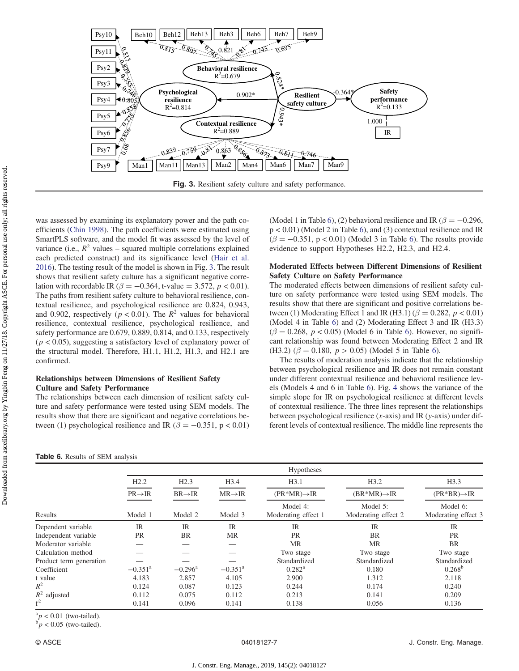<span id="page-6-0"></span>

was assessed by examining its explanatory power and the path coefficients [\(Chin 1998\)](#page-10-0). The path coefficients were estimated using SmartPLS software, and the model fit was assessed by the level of variance (i.e.,  $R^2$  values – squared multiple correlations explained each predicted construct) and its significance level [\(Hair et al.](#page-10-0) [2016](#page-10-0)). The testing result of the model is shown in Fig. 3. The result shows that resilient safety culture has a significant negative correlation with recordable IR ( $\beta = -0.364$ , t-value = 3.572, p < 0.01). The paths from resilient safety culture to behavioral resilience, contextual resilience, and psychological resilience are 0.824, 0.943, and 0.902, respectively ( $p < 0.01$ ). The  $R^2$  values for behavioral resilience, contextual resilience, psychological resilience, and safety performance are 0.679, 0.889, 0.814, and 0.133, respectively  $(p < 0.05)$ , suggesting a satisfactory level of explanatory power of the structural model. Therefore, H1.1, H1.2, H1.3, and H2.1 are confirmed.

## Relationships between Dimensions of Resilient Safety Culture and Safety Performance

The relationships between each dimension of resilient safety culture and safety performance were tested using SEM models. The results show that there are significant and negative correlations between (1) psychological resilience and IR ( $\beta = -0.351$ , p < 0.01) (Model 1 in Table 6), (2) behavioral resilience and IR ( $\beta = -0.296$ , p < 0.01) (Model 2 in Table 6), and (3) contextual resilience and IR  $(\beta = -0.351, p < 0.01)$  (Model 3 in Table 6). The results provide evidence to support Hypotheses H2.2, H2.3, and H2.4.

# Moderated Effects between Different Dimensions of Resilient Safety Culture on Safety Performance

The moderated effects between dimensions of resilient safety culture on safety performance were tested using SEM models. The results show that there are significant and positive correlations between (1) Moderating Effect 1 and IR (H3.1) ( $\beta = 0.282$ ,  $p < 0.01$ ) (Model 4 in Table 6) and (2) Moderating Effect 3 and IR (H3.3)  $(\beta = 0.268, p < 0.05)$  (Model 6 in Table 6). However, no significant relationship was found between Moderating Effect 2 and IR (H3.2) ( $\beta = 0.180$ ,  $p > 0.05$ ) (Model 5 in Table 6).

The results of moderation analysis indicate that the relationship between psychological resilience and IR does not remain constant under different contextual resilience and behavioral resilience levels (Models 4 and 6 in Table 6). Fig. [4](#page-7-0) shows the variance of the simple slope for IR on psychological resilience at different levels of contextual resilience. The three lines represent the relationships between psychological resilience  $(x-axis)$  and IR  $(y-axis)$  under different levels of contextual resilience. The middle line represents the

|                         | <b>Hypotheses</b>     |                       |                       |                                 |                                 |                                 |
|-------------------------|-----------------------|-----------------------|-----------------------|---------------------------------|---------------------------------|---------------------------------|
|                         | H2.2                  | H2.3                  | H3.4                  | H3.1                            | H3.2                            | H3.3                            |
|                         | $PR \rightarrow IR$   | $BR \rightarrow IR$   | $MR \rightarrow IR$   | $(PR*MR) \rightarrow IR$        | $(BR^*MR) \rightarrow IR$       | $(PR*BR) \rightarrow IR$        |
| Results                 | Model 1               | Model 2               | Model 3               | Model 4:<br>Moderating effect 1 | Model 5:<br>Moderating effect 2 | Model 6:<br>Moderating effect 3 |
| Dependent variable      | IR                    | $_{\rm IR}$           | IR                    | $_{\text{IR}}$                  | IR                              | IR                              |
| Independent variable    | <b>PR</b>             | <b>BR</b>             | MR                    | <b>PR</b>                       | <b>BR</b>                       | <b>PR</b>                       |
| Moderator variable      |                       |                       |                       | <b>MR</b>                       | MR                              | <b>BR</b>                       |
| Calculation method      |                       |                       |                       | Two stage                       | Two stage                       | Two stage                       |
| Product term generation |                       |                       |                       | Standardized                    | Standardized                    | Standardized                    |
| Coefficient             | $-0.351$ <sup>a</sup> | $-0.296$ <sup>a</sup> | $-0.351$ <sup>a</sup> | $0.282^{\rm a}$                 | 0.180                           | $0.268^{b}$                     |
| t value                 | 4.183                 | 2.857                 | 4.105                 | 2.900                           | 1.312                           | 2.118                           |
| $R^2$                   | 0.124                 | 0.087                 | 0.123                 | 0.244                           | 0.174                           | 0.240                           |
| $R^2$ adjusted          | 0.112                 | 0.075                 | 0.112                 | 0.213                           | 0.141                           | 0.209                           |
| f <sup>2</sup>          | 0.141                 | 0.096                 | 0.141                 | 0.138                           | 0.056                           | 0.136                           |

 ${}_{\text{b}}^{a}p < 0.01$  (two-tailed).  $b_p$  < 0.05 (two-tailed).

Table 6. Results of SEM analysis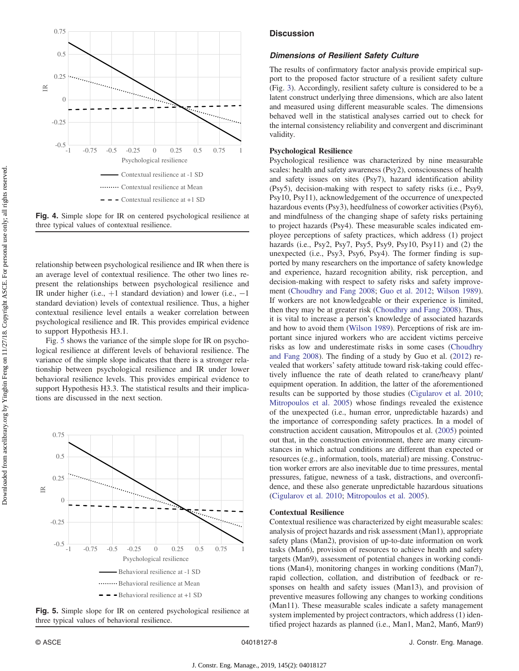<span id="page-7-0"></span>

Fig. 4. Simple slope for IR on centered psychological resilience at three typical values of contextual resilience.

relationship between psychological resilience and IR when there is an average level of contextual resilience. The other two lines represent the relationships between psychological resilience and IR under higher (i.e.,  $+1$  standard deviation) and lower (i.e.,  $-1$ standard deviation) levels of contextual resilience. Thus, a higher contextual resilience level entails a weaker correlation between psychological resilience and IR. This provides empirical evidence to support Hypothesis H3.1.

Fig. 5 shows the variance of the simple slope for IR on psychological resilience at different levels of behavioral resilience. The variance of the simple slope indicates that there is a stronger relationship between psychological resilience and IR under lower behavioral resilience levels. This provides empirical evidence to support Hypothesis H3.3. The statistical results and their implications are discussed in the next section.



Fig. 5. Simple slope for IR on centered psychological resilience at three typical values of behavioral resilience.

## **Discussion**

#### Dimensions of Resilient Safety Culture

The results of confirmatory factor analysis provide empirical support to the proposed factor structure of a resilient safety culture (Fig. [3\)](#page-6-0). Accordingly, resilient safety culture is considered to be a latent construct underlying three dimensions, which are also latent and measured using different measurable scales. The dimensions behaved well in the statistical analyses carried out to check for the internal consistency reliability and convergent and discriminant validity.

#### Psychological Resilience

Psychological resilience was characterized by nine measurable scales: health and safety awareness (Psy2), consciousness of health and safety issues on sites (Psy7), hazard identification ability (Psy5), decision-making with respect to safety risks (i.e., Psy9, Psy10, Psy11), acknowledgement of the occurrence of unexpected hazardous events (Psy3), heedfulness of coworker activities (Psy6), and mindfulness of the changing shape of safety risks pertaining to project hazards (Psy4). These measurable scales indicated employee perceptions of safety practices, which address (1) project hazards (i.e., Psy2, Psy7, Psy5, Psy9, Psy10, Psy11) and (2) the unexpected (i.e., Psy3, Psy6, Psy4). The former finding is supported by many researchers on the importance of safety knowledge and experience, hazard recognition ability, risk perception, and decision-making with respect to safety risks and safety improvement [\(Choudhry and Fang 2008;](#page-10-0) [Guo et al. 2012](#page-10-0); [Wilson 1989\)](#page-11-0). If workers are not knowledgeable or their experience is limited, then they may be at greater risk ([Choudhry and Fang 2008\)](#page-10-0). Thus, it is vital to increase a person's knowledge of associated hazards and how to avoid them ([Wilson 1989\)](#page-11-0). Perceptions of risk are important since injured workers who are accident victims perceive risks as low and underestimate risks in some cases [\(Choudhry](#page-10-0) [and Fang 2008](#page-10-0)). The finding of a study by Guo et al. [\(2012](#page-10-0)) revealed that workers' safety attitude toward risk-taking could effectively influence the rate of death related to crane/heavy plant/ equipment operation. In addition, the latter of the aforementioned results can be supported by those studies ([Cigularov et al. 2010](#page-10-0); [Mitropoulos et al. 2005](#page-10-0)) whose findings revealed the existence of the unexpected (i.e., human error, unpredictable hazards) and the importance of corresponding safety practices. In a model of construction accident causation, Mitropoulos et al. ([2005\)](#page-10-0) pointed out that, in the construction environment, there are many circumstances in which actual conditions are different than expected or resources (e.g., information, tools, material) are missing. Construction worker errors are also inevitable due to time pressures, mental pressures, fatigue, newness of a task, distractions, and overconfidence, and these also generate unpredictable hazardous situations [\(Cigularov et al. 2010;](#page-10-0) [Mitropoulos et al. 2005\)](#page-10-0).

#### Contextual Resilience

Contextual resilience was characterized by eight measurable scales: analysis of project hazards and risk assessment (Man1), appropriate safety plans (Man2), provision of up-to-date information on work tasks (Man6), provision of resources to achieve health and safety targets (Man9), assessment of potential changes in working conditions (Man4), monitoring changes in working conditions (Man7), rapid collection, collation, and distribution of feedback or responses on health and safety issues (Man13), and provision of preventive measures following any changes to working conditions (Man11). These measurable scales indicate a safety management system implemented by project contractors, which address (1) identified project hazards as planned (i.e., Man1, Man2, Man6, Man9)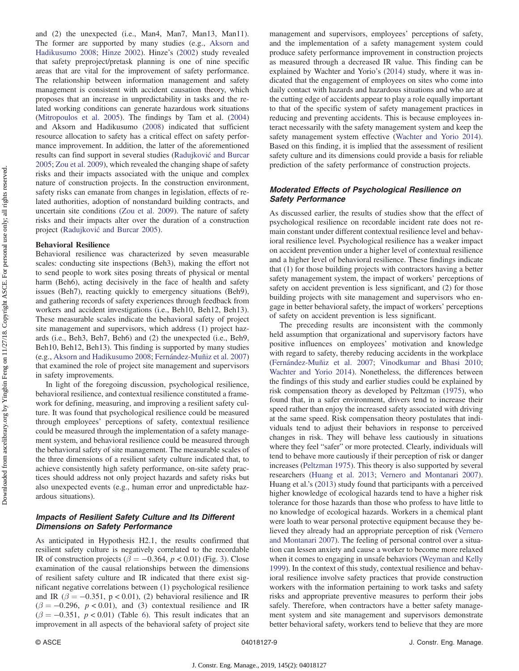Downloaded from ascelibrary.org by Yingbin Feng on 11/27/18. Copyright ASCE. For personal use only; all rights reserved. Downloaded from ascelibrary.org by Yingbin Feng on 11/27/18. Copyright ASCE. For personal use only; all rights reserved.

and (2) the unexpected (i.e., Man4, Man7, Man13, Man11). The former are supported by many studies (e.g., [Aksorn and](#page-10-0) [Hadikusumo 2008;](#page-10-0) [Hinze 2002\)](#page-10-0). Hinze's ([2002\)](#page-10-0) study revealed that safety preproject/pretask planning is one of nine specific areas that are vital for the improvement of safety performance. The relationship between information management and safety management is consistent with accident causation theory, which proposes that an increase in unpredictability in tasks and the related working conditions can generate hazardous work situations [\(Mitropoulos et al. 2005](#page-10-0)). The findings by Tam et al. ([2004\)](#page-11-0) and Aksorn and Hadikusumo [\(2008](#page-10-0)) indicated that sufficient resource allocation to safety has a critical effect on safety performance improvement. In addition, the latter of the aforementioned results can find support in several studies ([Radujkovi](#page-10-0)ć and Burcar [2005](#page-10-0); [Zou et al. 2009\)](#page-11-0), which revealed the changing shape of safety risks and their impacts associated with the unique and complex nature of construction projects. In the construction environment, safety risks can emanate from changes in legislation, effects of related authorities, adoption of nonstandard building contracts, and uncertain site conditions ([Zou et al. 2009](#page-11-0)). The nature of safety risks and their impacts alter over the duration of a construction project [\(Radujkovi](#page-10-0)ć and Burcar 2005).

#### Behavioral Resilience

Behavioral resilience was characterized by seven measurable scales: conducting site inspections (Beh3), making the effort not to send people to work sites posing threats of physical or mental harm (Beh6), acting decisively in the face of health and safety issues (Beh7), reacting quickly to emergency situations (Beh9), and gathering records of safety experiences through feedback from workers and accident investigations (i.e., Beh10, Beh12, Beh13). These measurable scales indicate the behavioral safety of project site management and supervisors, which address (1) project hazards (i.e., Beh3, Beh7, Beh6) and (2) the unexpected (i.e., Beh9, Beh10, Beh12, Beh13). This finding is supported by many studies (e.g., [Aksorn and Hadikusumo 2008](#page-10-0); Fernández-Muñiz et al. 2007) that examined the role of project site management and supervisors in safety improvements.

In light of the foregoing discussion, psychological resilience, behavioral resilience, and contextual resilience constituted a framework for defining, measuring, and improving a resilient safety culture. It was found that psychological resilience could be measured through employees' perceptions of safety, contextual resilience could be measured through the implementation of a safety management system, and behavioral resilience could be measured through the behavioral safety of site management. The measurable scales of the three dimensions of a resilient safety culture indicated that, to achieve consistently high safety performance, on-site safety practices should address not only project hazards and safety risks but also unexpected events (e.g., human error and unpredictable hazardous situations).

# Impacts of Resilient Safety Culture and Its Different Dimensions on Safety Performance

As anticipated in Hypothesis H2.1, the results confirmed that resilient safety culture is negatively correlated to the recordable IR of construction projects ( $\beta = -0.364$ ,  $p < 0.01$ ) (Fig. [3\)](#page-6-0). Close examination of the causal relationships between the dimensions of resilient safety culture and IR indicated that there exist significant negative correlations between (1) psychological resilience and IR ( $\beta = -0.351$ , p < 0.01), (2) behavioral resilience and IR  $(\beta = -0.296, p < 0.01)$ , and (3) contextual resilience and IR  $(\beta = -0.351, p < 0.01)$  (Table [6](#page-6-0)). This result indicates that an improvement in all aspects of the behavioral safety of project site management and supervisors, employees' perceptions of safety, and the implementation of a safety management system could produce safety performance improvement in construction projects as measured through a decreased IR value. This finding can be explained by Wachter and Yorio's ([2014\)](#page-11-0) study, where it was indicated that the engagement of employees on sites who come into daily contact with hazards and hazardous situations and who are at the cutting edge of accidents appear to play a role equally important to that of the specific system of safety management practices in reducing and preventing accidents. This is because employees interact necessarily with the safety management system and keep the safety management system effective ([Wachter and Yorio 2014\)](#page-11-0). Based on this finding, it is implied that the assessment of resilient safety culture and its dimensions could provide a basis for reliable prediction of the safety performance of construction projects.

# Moderated Effects of Psychological Resilience on Safety Performance

As discussed earlier, the results of studies show that the effect of psychological resilience on recordable incident rate does not remain constant under different contextual resilience level and behavioral resilience level. Psychological resilience has a weaker impact on accident prevention under a higher level of contextual resilience and a higher level of behavioral resilience. These findings indicate that (1) for those building projects with contractors having a better safety management system, the impact of workers' perceptions of safety on accident prevention is less significant, and (2) for those building projects with site management and supervisors who engage in better behavioral safety, the impact of workers' perceptions of safety on accident prevention is less significant.

The preceding results are inconsistent with the commonly held assumption that organizational and supervisory factors have positive influences on employees' motivation and knowledge with regard to safety, thereby reducing accidents in the workplace (Fernández-Muñiz et al. 2007; [Vinodkumar and Bhasi 2010](#page-11-0); [Wachter and Yorio 2014](#page-11-0)). Nonetheless, the differences between the findings of this study and earlier studies could be explained by risk compensation theory as developed by Peltzman ([1975\)](#page-10-0), who found that, in a safer environment, drivers tend to increase their speed rather than enjoy the increased safety associated with driving at the same speed. Risk compensation theory postulates that individuals tend to adjust their behaviors in response to perceived changes in risk. They will behave less cautiously in situations where they feel "safer" or more protected. Clearly, individuals will tend to behave more cautiously if their perception of risk or danger increases ([Peltzman 1975\)](#page-10-0). This theory is also supported by several researchers ([Huang et al. 2013;](#page-10-0) [Vernero and Montanari 2007\)](#page-11-0). Huang et al.'s ([2013\)](#page-10-0) study found that participants with a perceived higher knowledge of ecological hazards tend to have a higher risk tolerance for those hazards than those who profess to have little to no knowledge of ecological hazards. Workers in a chemical plant were loath to wear personal protective equipment because they believed they already had an appropriate perception of risk [\(Vernero](#page-11-0) [and Montanari 2007](#page-11-0)). The feeling of personal control over a situation can lessen anxiety and cause a worker to become more relaxed when it comes to engaging in unsafe behaviors [\(Weyman and Kelly](#page-11-0) [1999](#page-11-0)). In the context of this study, contextual resilience and behavioral resilience involve safety practices that provide construction workers with the information pertaining to work tasks and safety risks and appropriate preventive measures to perform their jobs safely. Therefore, when contractors have a better safety management system and site management and supervisors demonstrate better behavioral safety, workers tend to believe that they are more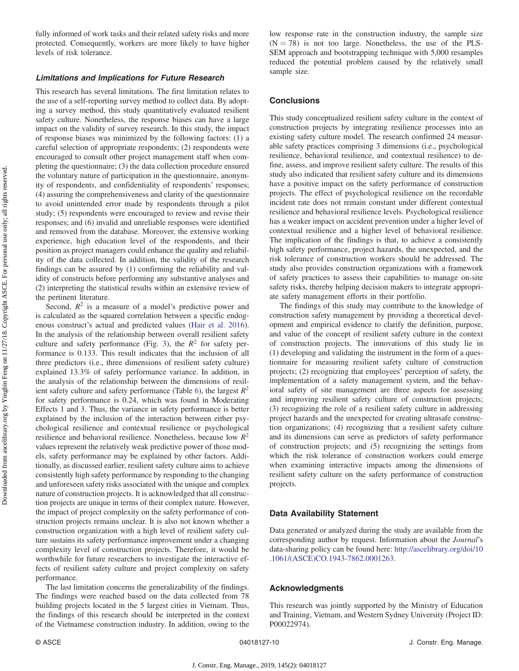fully informed of work tasks and their related safety risks and more protected. Consequently, workers are more likely to have higher levels of risk tolerance.

#### Limitations and Implications for Future Research

This research has several limitations. The first limitation relates to the use of a self-reporting survey method to collect data. By adopting a survey method, this study quantitatively evaluated resilient safety culture. Nonetheless, the response biases can have a large impact on the validity of survey research. In this study, the impact of response biases was minimized by the following factors: (1) a careful selection of appropriate respondents; (2) respondents were encouraged to consult other project management staff when completing the questionnaire; (3) the data collection procedure ensured the voluntary nature of participation in the questionnaire, anonymity of respondents, and confidentiality of respondents' responses; (4) assuring the comprehensiveness and clarity of the questionnaire to avoid unintended error made by respondents through a pilot study; (5) respondents were encouraged to review and revise their responses; and (6) invalid and unreliable responses were identified and removed from the database. Moreover, the extensive working experience, high education level of the respondents, and their position as project managers could enhance the quality and reliability of the data collected. In addition, the validity of the research findings can be assured by (1) confirming the reliability and validity of constructs before performing any substantive analyses and (2) interpreting the statistical results within an extensive review of the pertinent literature.

Second,  $R^2$  is a measure of a model's predictive power and is calculated as the squared correlation between a specific endogenous construct's actual and predicted values ([Hair et al. 2016\)](#page-10-0). In the analysis of the relationship between overall resilient safety culture and safety performance (Fig. [3\)](#page-6-0), the  $R^2$  for safety performance is 0.133. This result indicates that the inclusion of all three predictors (i.e., three dimensions of resilient safety culture) explained 13.3% of safety performance variance. In addition, in the analysis of the relationship between the dimensions of resil-ient safety culture and safety performance (Table [6](#page-6-0)), the largest  $R^2$ for safety performance is 0.24, which was found in Moderating Effects 1 and 3. Thus, the variance in safety performance is better explained by the inclusion of the interaction between either psychological resilience and contextual resilience or psychological resilience and behavioral resilience. Nonetheless, because low  $R^2$ values represent the relatively weak predictive power of those models, safety performance may be explained by other factors. Additionally, as discussed earlier, resilient safety culture aims to achieve consistently high safety performance by responding to the changing and unforeseen safety risks associated with the unique and complex nature of construction projects. It is acknowledged that all construction projects are unique in terms of their complex nature. However, the impact of project complexity on the safety performance of construction projects remains unclear. It is also not known whether a construction organization with a high level of resilient safety culture sustains its safety performance improvement under a changing complexity level of construction projects. Therefore, it would be worthwhile for future researchers to investigate the interactive effects of resilient safety culture and project complexity on safety performance.

The last limitation concerns the generalizability of the findings. The findings were reached based on the data collected from 78 building projects located in the 5 largest cities in Vietnam. Thus, the findings of this research should be interpreted in the context of the Vietnamese construction industry. In addition, owing to the low response rate in the construction industry, the sample size  $(N = 78)$  is not too large. Nonetheless, the use of the PLS-SEM approach and bootstrapping technique with 5,000 resamples reduced the potential problem caused by the relatively small sample size.

## **Conclusions**

This study conceptualized resilient safety culture in the context of construction projects by integrating resilience processes into an existing safety culture model. The research confirmed 24 measurable safety practices comprising 3 dimensions (i.e., psychological resilience, behavioral resilience, and contextual resilience) to define, assess, and improve resilient safety culture. The results of this study also indicated that resilient safety culture and its dimensions have a positive impact on the safety performance of construction projects. The effect of psychological resilience on the recordable incident rate does not remain constant under different contextual resilience and behavioral resilience levels. Psychological resilience has a weaker impact on accident prevention under a higher level of contextual resilience and a higher level of behavioral resilience. The implication of the findings is that, to achieve a consistently high safety performance, project hazards, the unexpected, and the risk tolerance of construction workers should be addressed. The study also provides construction organizations with a framework of safety practices to assess their capabilities to manage on-site safety risks, thereby helping decision makers to integrate appropriate safety management efforts in their portfolio.

The findings of this study may contribute to the knowledge of construction safety management by providing a theoretical development and empirical evidence to clarify the definition, purpose, and value of the concept of resilient safety culture in the context of construction projects. The innovations of this study lie in (1) developing and validating the instrument in the form of a questionnaire for measuring resilient safety culture of construction projects; (2) recognizing that employees' perception of safety, the implementation of a safety management system, and the behavioral safety of site management are three aspects for assessing and improving resilient safety culture of construction projects; (3) recognizing the role of a resilient safety culture in addressing project hazards and the unexpected for creating ultrasafe construction organizations; (4) recognizing that a resilient safety culture and its dimensions can serve as predictors of safety performance of construction projects; and (5) recognizing the settings from which the risk tolerance of construction workers could emerge when examining interactive impacts among the dimensions of resilient safety culture on the safety performance of construction projects.

#### Data Availability Statement

Data generated or analyzed during the study are available from the corresponding author by request. Information about the Journal's data-sharing policy can be found here: [http://ascelibrary.org/doi/10](http://ascelibrary.org/doi/10.1061/(ASCE)CO.1943-7862.0001263) [.1061/\(ASCE\)CO.1943-7862.0001263.](http://ascelibrary.org/doi/10.1061/(ASCE)CO.1943-7862.0001263)

#### Acknowledgments

This research was jointly supported by the Ministry of Education and Training, Vietnam, and Western Sydney University (Project ID: P00022974).

Downloaded from ascelibrary org by Yingbin Feng on 11/27/18. Copyright ASCE. For personal use only; all rights reserved. Downloaded from ascelibrary.org by Yingbin Feng on 11/27/18. Copyright ASCE. For personal use only; all rights reserved.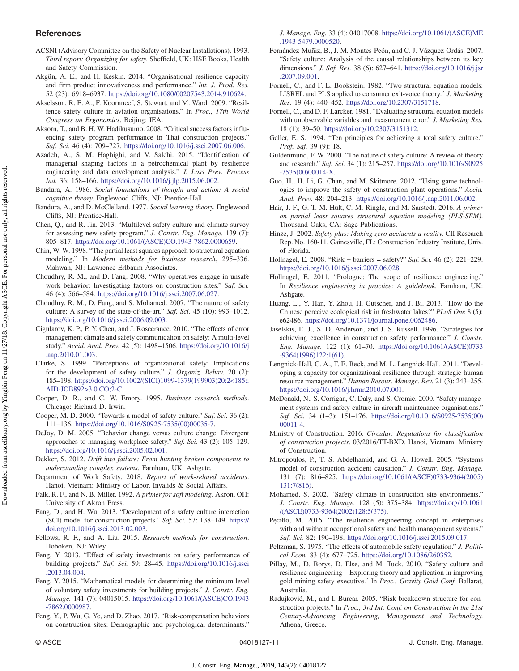## <span id="page-10-0"></span>**References**

- ACSNI (Advisory Committee on the Safety of Nuclear Installations). 1993. Third report: Organizing for safety. Sheffield, UK: HSE Books, Health and Safety Commission.
- Akgün, A. E., and H. Keskin. 2014. "Organisational resilience capacity and firm product innovativeness and performance." Int. J. Prod. Res. 52 (23): 6918–6937. <https://doi.org/10.1080/00207543.2014.910624>.
- Akselsson, R. E. A., F. Koornneef, S. Stewart, and M. Ward. 2009. "Resilience safety culture in aviation organisations." In Proc., 17th World Congress on Ergonomics. Beijing: IEA.
- Aksorn, T., and B. H. W. Hadikusumo. 2008. "Critical success factors influencing safety program performance in Thai construction projects." Saf. Sci. 46 (4): 709–727. [https://doi.org/10.1016/j.ssci.2007.06.006.](https://doi.org/10.1016/j.ssci.2007.06.006)
- Azadeh, A., S. M. Haghighi, and V. Salehi. 2015. "Identification of managerial shaping factors in a petrochemical plant by resilience engineering and data envelopment analysis." J. Loss Prev. Process Ind. 36: 158–166. <https://doi.org/10.1016/j.jlp.2015.06.002>.
- Bandura, A. 1986. Social foundations of thought and action: A social cognitive theory. Englewood Cliffs, NJ: Prentice-Hall.
- Bandura, A., and D. McClelland. 1977. Social learning theory. Englewood Cliffs, NJ: Prentice-Hall.
- Chen, Q., and R. Jin. 2013. "Multilevel safety culture and climate survey for assessing new safety program." J. Constr. Eng. Manage. 139 (7): 805–817. [https://doi.org/10.1061/\(ASCE\)CO.1943-7862.0000659](https://doi.org/10.1061/(ASCE)CO.1943-7862.0000659).
- Chin, W. W. 1998. "The partial least squares approach to structural equation modeling." In Modern methods for business research, 295–336. Mahwah, NJ: Lawrence Erlbaum Associates.
- Choudhry, R. M., and D. Fang. 2008. "Why operatives engage in unsafe work behavior: Investigating factors on construction sites." Saf. Sci. 46 (4): 566–584. [https://doi.org/10.1016/j.ssci.2007.06.027.](https://doi.org/10.1016/j.ssci.2007.06.027)
- Choudhry, R. M., D. Fang, and S. Mohamed. 2007. "The nature of safety culture: A survey of the state-of-the-art." Saf. Sci. 45 (10): 993–1012. <https://doi.org/10.1016/j.ssci.2006.09.003>.
- Cigularov, K. P., P. Y. Chen, and J. Rosecrance. 2010. "The effects of error management climate and safety communication on safety: A multi-level study." Accid. Anal. Prev. 42 (5): 1498–1506. [https://doi.org/10.1016/j](https://doi.org/10.1016/j.aap.2010.01.003) [.aap.2010.01.003](https://doi.org/10.1016/j.aap.2010.01.003).
- Clarke, S. 1999. "Perceptions of organizational safety: Implications for the development of safety culture." J. Organiz. Behav. 20 (2): 185–198. [https://doi.org/10.1002/\(SICI\)1099-1379\(199903\)20:2](https://doi.org/10.1002/(SICI)1099-1379(199903)20:2%3C185::AID-JOB892%3E3.0.CO;2-C)<185:: [AID-JOB892](https://doi.org/10.1002/(SICI)1099-1379(199903)20:2%3C185::AID-JOB892%3E3.0.CO;2-C)>3.0.CO;2-C.
- Cooper, D. R., and C. W. Emory. 1995. Business research methods. Chicago: Richard D. Irwin.
- Cooper, M. D. 2000. "Towards a model of safety culture." Saf. Sci. 36 (2): 111–136. [https://doi.org/10.1016/S0925-7535\(00\)00035-7](https://doi.org/10.1016/S0925-7535(00)00035-7).
- DeJoy, D. M. 2005. "Behavior change versus culture change: Divergent approaches to managing workplace safety." Saf. Sci. 43 (2): 105–129. <https://doi.org/10.1016/j.ssci.2005.02.001>.
- Dekker, S. 2012. Drift into failure: From hunting broken components to understanding complex systems. Farnham, UK: Ashgate.
- Department of Work Safety. 2018. Report of work-related accidents. Hanoi, Vietnam: Ministry of Labor, Invalids & Social Affairs.
- Falk, R. F., and N. B. Miller. 1992. A primer for soft modeling. Akron, OH: University of Akron Press.
- Fang, D., and H. Wu. 2013. "Development of a safety culture interaction (SCI) model for construction projects." Saf. Sci. 57: 138–149. [https://](https://doi.org/10.1016/j.ssci.2013.02.003) [doi.org/10.1016/j.ssci.2013.02.003.](https://doi.org/10.1016/j.ssci.2013.02.003)
- Fellows, R. F., and A. Liu. 2015. Research methods for construction. Hoboken, NJ: Wiley.
- Feng, Y. 2013. "Effect of safety investments on safety performance of building projects." Saf. Sci. 59: 28–45. [https://doi.org/10.1016/j.ssci](https://doi.org/10.1016/j.ssci.2013.04.004) [.2013.04.004.](https://doi.org/10.1016/j.ssci.2013.04.004)
- Feng, Y. 2015. "Mathematical models for determining the minimum level of voluntary safety investments for building projects." J. Constr. Eng. Manage. 141 (7): 04015015. [https://doi.org/10.1061/\(ASCE\)CO.1943](https://doi.org/10.1061/(ASCE)CO.1943-7862.0000987) [-7862.0000987.](https://doi.org/10.1061/(ASCE)CO.1943-7862.0000987)
- Feng, Y., P. Wu, G. Ye, and D. Zhao. 2017. "Risk-compensation behaviors on construction sites: Demographic and psychological determinants."

J. Manage. Eng. 33 (4): 04017008. [https://doi.org/10.1061/\(ASCE\)ME](https://doi.org/10.1061/(ASCE)ME.1943-5479.0000520) [.1943-5479.0000520.](https://doi.org/10.1061/(ASCE)ME.1943-5479.0000520)

- Fernández-Muñiz, B., J. M. Montes-Peón, and C. J. Vázquez-Ordás. 2007. "Safety culture: Analysis of the causal relationships between its key dimensions." J. Saf. Res. 38 (6): 627–641. [https://doi.org/10.1016/j.jsr](https://doi.org/10.1016/j.jsr.2007.09.001) [.2007.09.001.](https://doi.org/10.1016/j.jsr.2007.09.001)
- Fornell, C., and F. L. Bookstein. 1982. "Two structural equation models: LISREL and PLS applied to consumer exit-voice theory." J. Marketing Res. 19 (4): 440–452. [https://doi.org/10.2307/3151718.](https://doi.org/10.2307/3151718)
- Fornell, C., and D. F. Larcker. 1981. "Evaluating structural equation models with unobservable variables and measurement error." J. Marketing Res. 18 (1): 39–50. <https://doi.org/10.2307/3151312>.
- Geller, E. S. 1994. "Ten principles for achieving a total safety culture." Prof. Saf. 39 (9): 18.
- Guldenmund, F. W. 2000. "The nature of safety culture: A review of theory and research." Saf. Sci. 34 (1): 215–257. [https://doi.org/10.1016/S0925](https://doi.org/10.1016/S0925-7535(00)00014-X) [-7535\(00\)00014-X.](https://doi.org/10.1016/S0925-7535(00)00014-X)
- Guo, H., H. Li, G. Chan, and M. Skitmore. 2012. "Using game technologies to improve the safety of construction plant operations." Accid. Anal. Prev. 48: 204–213. [https://doi.org/10.1016/j.aap.2011.06.002.](https://doi.org/10.1016/j.aap.2011.06.002)
- Hair, J. F., G. T. M. Hult, C. M. Ringle, and M. Sarstedt. 2016. A primer on partial least squares structural equation modeling (PLS-SEM). Thousand Oaks, CA: Sage Publications.
- Hinze, J. 2002. Safety plus: Making zero accidents a reality. CII Research Rep. No. 160-11. Gainesville, FL: Construction Industry Institute, Univ. of Florida.
- Hollnagel, E. 2008. "Risk + barriers = safety?" Saf. Sci. 46 (2): 221–229. <https://doi.org/10.1016/j.ssci.2007.06.028>.
- Hollnagel, E. 2011. "Prologue: The scope of resilience engineering." In Resilience engineering in practice: A guidebook. Farnham, UK: Ashgate.
- Huang, L., Y. Han, Y. Zhou, H. Gutscher, and J. Bi. 2013. "How do the Chinese perceive ecological risk in freshwater lakes?" PLoS One 8 (5): e62486. [https://doi.org/10.1371/journal.pone.0062486.](https://doi.org/10.1371/journal.pone.0062486)
- Jaselskis, E. J., S. D. Anderson, and J. S. Russell. 1996. "Strategies for achieving excellence in construction safety performance." J. Constr. Eng. Manage. 122 (1): 61–70. [https://doi.org/10.1061/\(ASCE\)0733](https://doi.org/10.1061/(ASCE)0733-9364(1996)122:1(61)) [-9364\(1996\)122:1\(61\).](https://doi.org/10.1061/(ASCE)0733-9364(1996)122:1(61))
- Lengnick-Hall, C. A., T. E. Beck, and M. L. Lengnick-Hall. 2011. "Developing a capacity for organizational resilience through strategic human resource management." Human Resour. Manage. Rev. 21 (3): 243–255. <https://doi.org/10.1016/j.hrmr.2010.07.001>.
- McDonald, N., S. Corrigan, C. Daly, and S. Cromie. 2000. "Safety management systems and safety culture in aircraft maintenance organisations." Saf. Sci. 34 (1–3): 151–176. [https://doi.org/10.1016/S0925-7535\(00\)](https://doi.org/10.1016/S0925-7535(00)00011-4) [00011-4.](https://doi.org/10.1016/S0925-7535(00)00011-4)
- Ministry of Construction. 2016. Circular: Regulations for classification of construction projects. 03/2016/TT-BXD. Hanoi, Vietnam: Ministry of Construction.
- Mitropoulos, P., T. S. Abdelhamid, and G. A. Howell. 2005. "Systems model of construction accident causation." J. Constr. Eng. Manage. 131 (7): 816–825. [https://doi.org/10.1061/\(ASCE\)0733-9364\(2005\)](https://doi.org/10.1061/(ASCE)0733-9364(2005)131:7(816)) [131:7\(816\).](https://doi.org/10.1061/(ASCE)0733-9364(2005)131:7(816))
- Mohamed, S. 2002. "Safety climate in construction site environments." J. Constr. Eng. Manage. 128 (5): 375–384. [https://doi.org/10.1061](https://doi.org/10.1061/(ASCE)0733-9364(2002)128:5(375)) [/\(ASCE\)0733-9364\(2002\)128:5\(375\)](https://doi.org/10.1061/(ASCE)0733-9364(2002)128:5(375)).
- Pęciłło, M. 2016. "The resilience engineering concept in enterprises with and without occupational safety and health management systems." Saf. Sci. 82: 190–198. <https://doi.org/10.1016/j.ssci.2015.09.017>.
- Peltzman, S. 1975. "The effects of automobile safety regulation." J. Political Econ. 83 (4): 677–725. <https://doi.org/10.1086/260352>.
- Pillay, M., D. Borys, D. Else, and M. Tuck. 2010. "Safety culture and resilience engineering—Exploring theory and application in improving gold mining safety executive." In Proc., Gravity Gold Conf. Ballarat, Australia.
- Radujković, M., and I. Burcar. 2005. "Risk breakdown structure for construction projects." In Proc., 3rd Int. Conf. on Construction in the 21st Century-Advancing Engineering, Management and Technology. Athena, Greece.